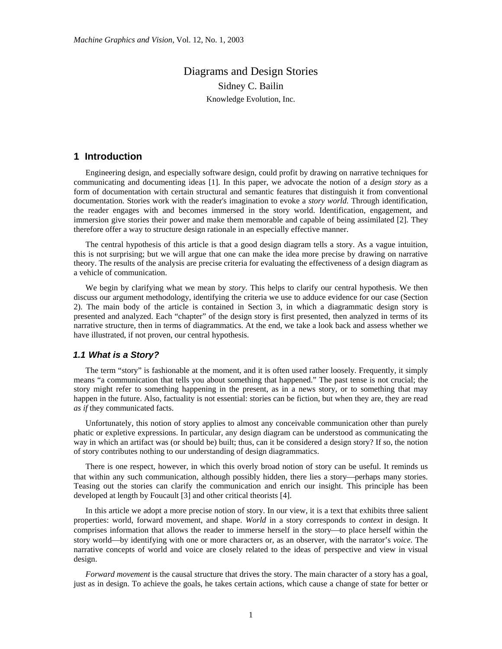# Diagrams and Design Stories Sidney C. Bailin Knowledge Evolution, Inc.

# **1 Introduction**

Engineering design, and especially software design, could profit by drawing on narrative techniques for communicating and documenting ideas [1]. In this paper, we advocate the notion of a *design story* as a form of documentation with certain structural and semantic features that distinguish it from conventional documentation. Stories work with the reader's imagination to evoke a *story world*. Through identification, the reader engages with and becomes immersed in the story world. Identification, engagement, and immersion give stories their power and make them memorable and capable of being assimilated [2]. They therefore offer a way to structure design rationale in an especially effective manner.

The central hypothesis of this article is that a good design diagram tells a story. As a vague intuition, this is not surprising; but we will argue that one can make the idea more precise by drawing on narrative theory. The results of the analysis are precise criteria for evaluating the effectiveness of a design diagram as a vehicle of communication.

We begin by clarifying what we mean by *story*. This helps to clarify our central hypothesis. We then discuss our argument methodology, identifying the criteria we use to adduce evidence for our case (Section 2). The main body of the article is contained in Section 3, in which a diagrammatic design story is presented and analyzed. Each "chapter" of the design story is first presented, then analyzed in terms of its narrative structure, then in terms of diagrammatics. At the end, we take a look back and assess whether we have illustrated, if not proven, our central hypothesis.

#### *1.1 What is a Story?*

The term "story" is fashionable at the moment, and it is often used rather loosely. Frequently, it simply means "a communication that tells you about something that happened." The past tense is not crucial; the story might refer to something happening in the present, as in a news story, or to something that may happen in the future. Also, factuality is not essential: stories can be fiction, but when they are, they are read *as if* they communicated facts.

Unfortunately, this notion of story applies to almost any conceivable communication other than purely phatic or expletive expressions. In particular, any design diagram can be understood as communicating the way in which an artifact was (or should be) built; thus, can it be considered a design story? If so, the notion of story contributes nothing to our understanding of design diagrammatics.

There is one respect, however, in which this overly broad notion of story can be useful. It reminds us that within any such communication, although possibly hidden, there lies a story—perhaps many stories. Teasing out the stories can clarify the communication and enrich our insight. This principle has been developed at length by Foucault [3] and other critical theorists [4].

In this article we adopt a more precise notion of story. In our view, it is a text that exhibits three salient properties: world, forward movement, and shape. *World* in a story corresponds to *context* in design. It comprises information that allows the reader to immerse herself in the story—to place herself within the story world—by identifying with one or more characters or, as an observer, with the narrator's *voice*. The narrative concepts of world and voice are closely related to the ideas of perspective and view in visual design.

*Forward movement* is the causal structure that drives the story. The main character of a story has a goal, just as in design. To achieve the goals, he takes certain actions, which cause a change of state for better or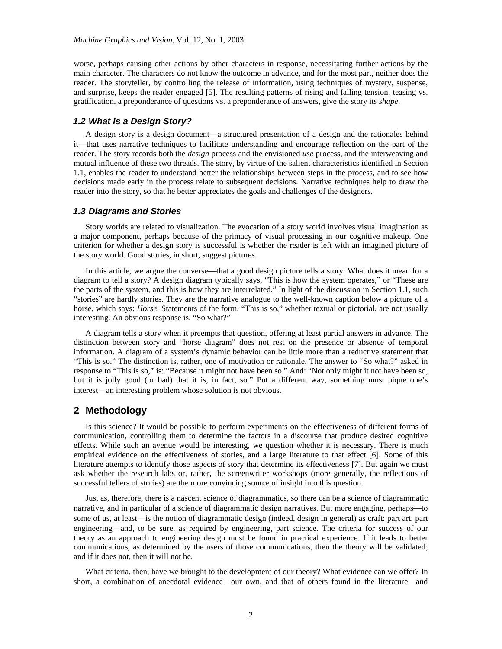worse, perhaps causing other actions by other characters in response, necessitating further actions by the main character. The characters do not know the outcome in advance, and for the most part, neither does the reader. The storyteller, by controlling the release of information, using techniques of mystery, suspense, and surprise, keeps the reader engaged [5]. The resulting patterns of rising and falling tension, teasing vs. gratification, a preponderance of questions vs. a preponderance of answers, give the story its *shape*.

# *1.2 What is a Design Story?*

A design story is a design document—a structured presentation of a design and the rationales behind it—that uses narrative techniques to facilitate understanding and encourage reflection on the part of the reader. The story records both the *design* process and the envisioned *use* process, and the interweaving and mutual influence of these two threads. The story, by virtue of the salient characteristics identified in Section 1.1, enables the reader to understand better the relationships between steps in the process, and to see how decisions made early in the process relate to subsequent decisions. Narrative techniques help to draw the reader into the story, so that he better appreciates the goals and challenges of the designers.

#### *1.3 Diagrams and Stories*

Story worlds are related to visualization. The evocation of a story world involves visual imagination as a major component, perhaps because of the primacy of visual processing in our cognitive makeup. One criterion for whether a design story is successful is whether the reader is left with an imagined picture of the story world. Good stories, in short, suggest pictures.

In this article, we argue the converse—that a good design picture tells a story. What does it mean for a diagram to tell a story? A design diagram typically says, "This is how the system operates," or "These are the parts of the system, and this is how they are interrelated." In light of the discussion in Section 1.1, such "stories" are hardly stories. They are the narrative analogue to the well-known caption below a picture of a horse, which says: *Horse*. Statements of the form, "This is so," whether textual or pictorial, are not usually interesting. An obvious response is, "So what?"

A diagram tells a story when it preempts that question, offering at least partial answers in advance. The distinction between story and "horse diagram" does not rest on the presence or absence of temporal information. A diagram of a system's dynamic behavior can be little more than a reductive statement that "This is so." The distinction is, rather, one of motivation or rationale. The answer to "So what?" asked in response to "This is so," is: "Because it might not have been so." And: "Not only might it not have been so, but it is jolly good (or bad) that it is, in fact, so." Put a different way, something must pique one's interest—an interesting problem whose solution is not obvious.

# **2 Methodology**

Is this science? It would be possible to perform experiments on the effectiveness of different forms of communication, controlling them to determine the factors in a discourse that produce desired cognitive effects. While such an avenue would be interesting, we question whether it is necessary. There is much empirical evidence on the effectiveness of stories, and a large literature to that effect [6]. Some of this literature attempts to identify those aspects of story that determine its effectiveness [7]. But again we must ask whether the research labs or, rather, the screenwriter workshops (more generally, the reflections of successful tellers of stories) are the more convincing source of insight into this question.

Just as, therefore, there is a nascent science of diagrammatics, so there can be a science of diagrammatic narrative, and in particular of a science of diagrammatic design narratives. But more engaging, perhaps—to some of us, at least—is the notion of diagrammatic design (indeed, design in general) as craft: part art, part engineering—and, to be sure, as required by engineering, part science. The criteria for success of our theory as an approach to engineering design must be found in practical experience. If it leads to better communications, as determined by the users of those communications, then the theory will be validated; and if it does not, then it will not be.

What criteria, then, have we brought to the development of our theory? What evidence can we offer? In short, a combination of anecdotal evidence—our own, and that of others found in the literature—and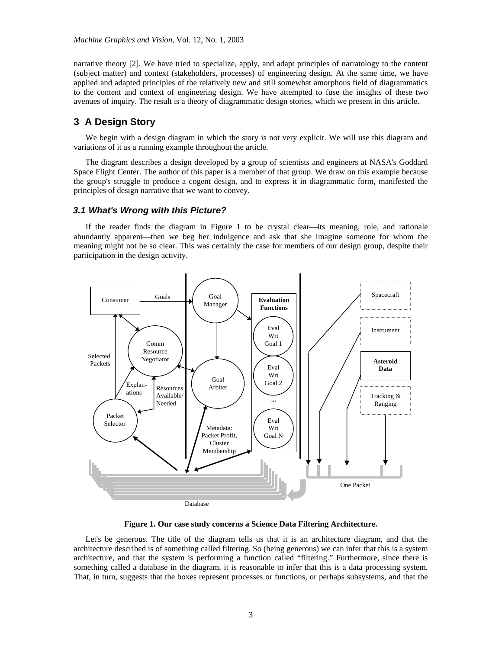narrative theory [2]. We have tried to specialize, apply, and adapt principles of narratology to the content (subject matter) and context (stakeholders, processes) of engineering design. At the same time, we have applied and adapted principles of the relatively new and still somewhat amorphous field of diagrammatics to the content and context of engineering design. We have attempted to fuse the insights of these two avenues of inquiry. The result is a theory of diagrammatic design stories, which we present in this article.

# **3 A Design Story**

We begin with a design diagram in which the story is not very explicit. We will use this diagram and variations of it as a running example throughout the article.

The diagram describes a design developed by a group of scientists and engineers at NASA's Goddard Space Flight Center. The author of this paper is a member of that group. We draw on this example because the group's struggle to produce a cogent design, and to express it in diagrammatic form, manifested the principles of design narrative that we want to convey.

#### *3.1 What's Wrong with this Picture?*

If the reader finds the diagram in Figure 1 to be crystal clear—its meaning, role, and rationale abundantly apparent—then we beg her indulgence and ask that she imagine someone for whom the meaning might not be so clear. This was certainly the case for members of our design group, despite their participation in the design activity.



**Figure 1. Our case study concerns a Science Data Filtering Architecture.** 

Let's be generous. The title of the diagram tells us that it is an architecture diagram, and that the architecture described is of something called filtering. So (being generous) we can infer that this is a system architecture, and that the system is performing a function called "filtering." Furthermore, since there is something called a database in the diagram, it is reasonable to infer that this is a data processing system. That, in turn, suggests that the boxes represent processes or functions, or perhaps subsystems, and that the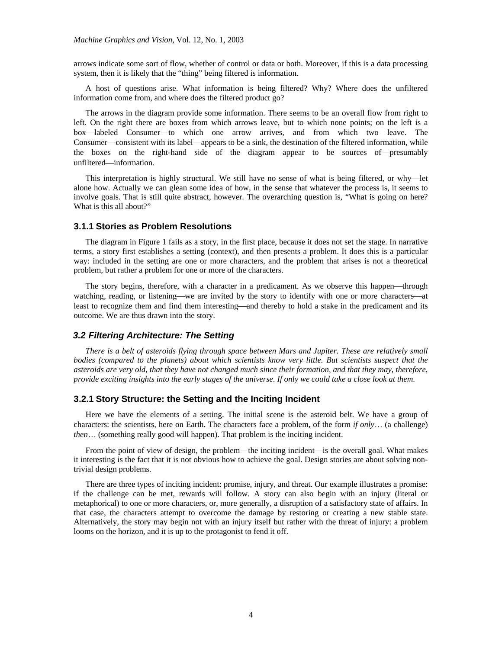arrows indicate some sort of flow, whether of control or data or both. Moreover, if this is a data processing system, then it is likely that the "thing" being filtered is information.

A host of questions arise. What information is being filtered? Why? Where does the unfiltered information come from, and where does the filtered product go?

The arrows in the diagram provide some information. There seems to be an overall flow from right to left. On the right there are boxes from which arrows leave, but to which none points; on the left is a box—labeled Consumer—to which one arrow arrives, and from which two leave. The Consumer—consistent with its label—appears to be a sink, the destination of the filtered information, while the boxes on the right-hand side of the diagram appear to be sources of-presumably unfiltered—information.

This interpretation is highly structural. We still have no sense of what is being filtered, or why—let alone how. Actually we can glean some idea of how, in the sense that whatever the process is, it seems to involve goals. That is still quite abstract, however. The overarching question is, "What is going on here? What is this all about?"

### **3.1.1 Stories as Problem Resolutions**

The diagram in Figure 1 fails as a story, in the first place, because it does not set the stage. In narrative terms, a story first establishes a setting (context), and then presents a problem. It does this is a particular way: included in the setting are one or more characters, and the problem that arises is not a theoretical problem, but rather a problem for one or more of the characters.

The story begins, therefore, with a character in a predicament. As we observe this happen—through watching, reading, or listening—we are invited by the story to identify with one or more characters—at least to recognize them and find them interesting—and thereby to hold a stake in the predicament and its outcome. We are thus drawn into the story.

#### *3.2 Filtering Architecture: The Setting*

*There is a belt of asteroids flying through space between Mars and Jupiter. These are relatively small bodies (compared to the planets) about which scientists know very little. But scientists suspect that the asteroids are very old, that they have not changed much since their formation, and that they may, therefore, provide exciting insights into the early stages of the universe. If only we could take a close look at them.* 

### **3.2.1 Story Structure: the Setting and the Inciting Incident**

Here we have the elements of a setting. The initial scene is the asteroid belt. We have a group of characters: the scientists, here on Earth. The characters face a problem, of the form *if only*… (a challenge) *then*… (something really good will happen). That problem is the inciting incident.

From the point of view of design, the problem—the inciting incident—is the overall goal. What makes it interesting is the fact that it is not obvious how to achieve the goal. Design stories are about solving nontrivial design problems.

There are three types of inciting incident: promise, injury, and threat. Our example illustrates a promise: if the challenge can be met, rewards will follow. A story can also begin with an injury (literal or metaphorical) to one or more characters, or, more generally, a disruption of a satisfactory state of affairs. In that case, the characters attempt to overcome the damage by restoring or creating a new stable state. Alternatively, the story may begin not with an injury itself but rather with the threat of injury: a problem looms on the horizon, and it is up to the protagonist to fend it off.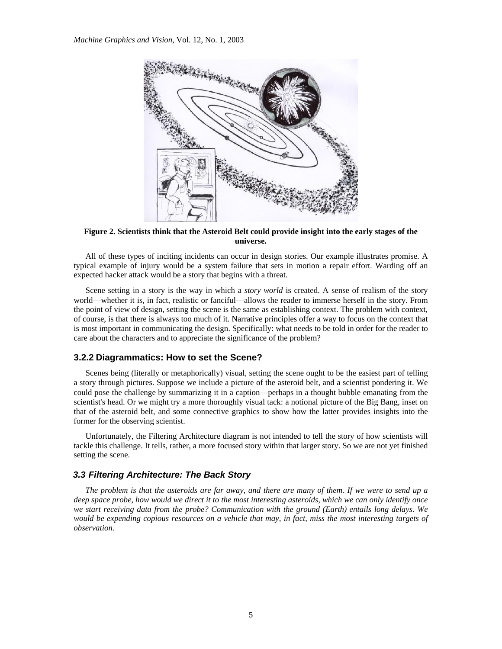

**Figure 2. Scientists think that the Asteroid Belt could provide insight into the early stages of the universe.**

All of these types of inciting incidents can occur in design stories. Our example illustrates promise. A typical example of injury would be a system failure that sets in motion a repair effort. Warding off an expected hacker attack would be a story that begins with a threat.

Scene setting in a story is the way in which a *story world* is created. A sense of realism of the story world—whether it is, in fact, realistic or fanciful—allows the reader to immerse herself in the story. From the point of view of design, setting the scene is the same as establishing context. The problem with context, of course, is that there is always too much of it. Narrative principles offer a way to focus on the context that is most important in communicating the design. Specifically: what needs to be told in order for the reader to care about the characters and to appreciate the significance of the problem?

### **3.2.2 Diagrammatics: How to set the Scene?**

Scenes being (literally or metaphorically) visual, setting the scene ought to be the easiest part of telling a story through pictures. Suppose we include a picture of the asteroid belt, and a scientist pondering it. We could pose the challenge by summarizing it in a caption—perhaps in a thought bubble emanating from the scientist's head. Or we might try a more thoroughly visual tack: a notional picture of the Big Bang, inset on that of the asteroid belt, and some connective graphics to show how the latter provides insights into the former for the observing scientist.

Unfortunately, the Filtering Architecture diagram is not intended to tell the story of how scientists will tackle this challenge. It tells, rather, a more focused story within that larger story. So we are not yet finished setting the scene.

## *3.3 Filtering Architecture: The Back Story*

*The problem is that the asteroids are far away, and there are many of them. If we were to send up a deep space probe, how would we direct it to the most interesting asteroids, which we can only identify once we start receiving data from the probe? Communication with the ground (Earth) entails long delays. We would be expending copious resources on a vehicle that may, in fact, miss the most interesting targets of observation.*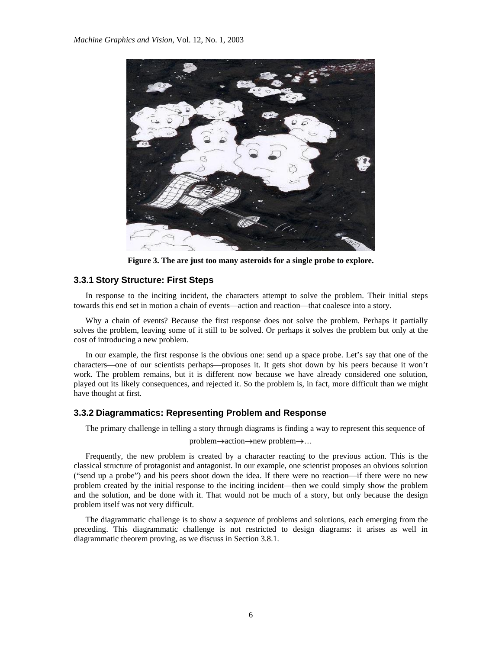

**Figure 3. The are just too many asteroids for a single probe to explore.**

# **3.3.1 Story Structure: First Steps**

In response to the inciting incident, the characters attempt to solve the problem. Their initial steps towards this end set in motion a chain of events—action and reaction—that coalesce into a story.

Why a chain of events? Because the first response does not solve the problem. Perhaps it partially solves the problem, leaving some of it still to be solved. Or perhaps it solves the problem but only at the cost of introducing a new problem.

In our example, the first response is the obvious one: send up a space probe. Let's say that one of the characters—one of our scientists perhaps—proposes it. It gets shot down by his peers because it won't work. The problem remains, but it is different now because we have already considered one solution, played out its likely consequences, and rejected it. So the problem is, in fact, more difficult than we might have thought at first.

#### **3.3.2 Diagrammatics: Representing Problem and Response**

The primary challenge in telling a story through diagrams is finding a way to represent this sequence of problem→action→new problem→…

Frequently, the new problem is created by a character reacting to the previous action. This is the classical structure of protagonist and antagonist. In our example, one scientist proposes an obvious solution ("send up a probe") and his peers shoot down the idea. If there were no reaction—if there were no new problem created by the initial response to the inciting incident—then we could simply show the problem and the solution, and be done with it. That would not be much of a story, but only because the design problem itself was not very difficult.

The diagrammatic challenge is to show a *sequence* of problems and solutions, each emerging from the preceding. This diagrammatic challenge is not restricted to design diagrams: it arises as well in diagrammatic theorem proving, as we discuss in Section 3.8.1.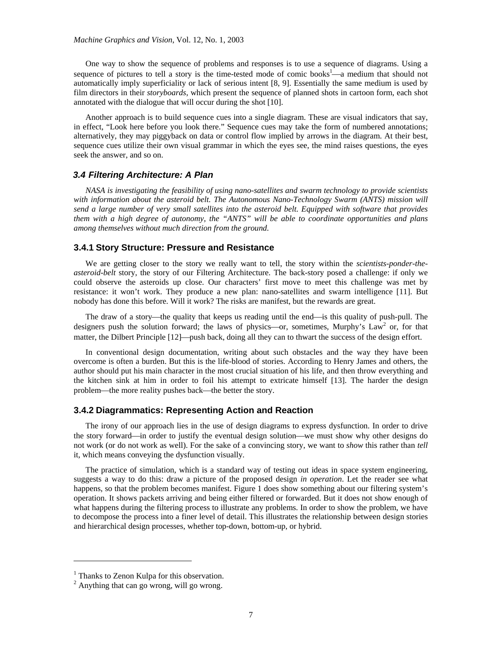One way to show the sequence of problems and responses is to use a sequence of diagrams. Using a sequence of pictures to tell a story is the time-tested mode of comic books<sup>1</sup>—a medium that should not automatically imply superficiality or lack of serious intent [8, 9]. Essentially the same medium is used by film directors in their *storyboards*, which present the sequence of planned shots in cartoon form, each shot annotated with the dialogue that will occur during the shot [10].

Another approach is to build sequence cues into a single diagram. These are visual indicators that say, in effect, "Look here before you look there." Sequence cues may take the form of numbered annotations; alternatively, they may piggyback on data or control flow implied by arrows in the diagram. At their best, sequence cues utilize their own visual grammar in which the eyes see, the mind raises questions, the eyes seek the answer, and so on.

#### *3.4 Filtering Architecture: A Plan*

*NASA is investigating the feasibility of using nano-satellites and swarm technology to provide scientists*  with information about the asteroid belt. The Autonomous Nano-Technology Swarm (ANTS) mission will *send a large number of very small satellites into the asteroid belt. Equipped with software that provides them with a high degree of autonomy, the "ANTS" will be able to coordinate opportunities and plans among themselves without much direction from the ground.* 

# **3.4.1 Story Structure: Pressure and Resistance**

We are getting closer to the story we really want to tell, the story within the *scientists-ponder-theasteroid-belt* story, the story of our Filtering Architecture. The back-story posed a challenge: if only we could observe the asteroids up close. Our characters' first move to meet this challenge was met by resistance: it won't work. They produce a new plan: nano-satellites and swarm intelligence [11]. But nobody has done this before. Will it work? The risks are manifest, but the rewards are great.

The draw of a story—the quality that keeps us reading until the end—is this quality of push-pull. The designers push the solution forward; the laws of physics—or, sometimes, Murphy's Law<sup>2</sup> or, for that matter, the Dilbert Principle [12]—push back, doing all they can to thwart the success of the design effort.

In conventional design documentation, writing about such obstacles and the way they have been overcome is often a burden. But this is the life-blood of stories. According to Henry James and others, the author should put his main character in the most crucial situation of his life, and then throw everything and the kitchen sink at him in order to foil his attempt to extricate himself [13]. The harder the design problem—the more reality pushes back—the better the story.

# **3.4.2 Diagrammatics: Representing Action and Reaction**

The irony of our approach lies in the use of design diagrams to express dysfunction. In order to drive the story forward—in order to justify the eventual design solution—we must show why other designs do not work (or do not work as well). For the sake of a convincing story, we want to *show* this rather than *tell* it, which means conveying the dysfunction visually.

The practice of simulation, which is a standard way of testing out ideas in space system engineering, suggests a way to do this: draw a picture of the proposed design *in operation*. Let the reader see what happens, so that the problem becomes manifest. Figure 1 does show something about our filtering system's operation. It shows packets arriving and being either filtered or forwarded. But it does not show enough of what happens during the filtering process to illustrate any problems. In order to show the problem, we have to decompose the process into a finer level of detail. This illustrates the relationship between design stories and hierarchical design processes, whether top-down, bottom-up, or hybrid.

 $\overline{a}$ 

<sup>&</sup>lt;sup>1</sup> Thanks to Zenon Kulpa for this observation.

<sup>2</sup> Anything that can go wrong, will go wrong.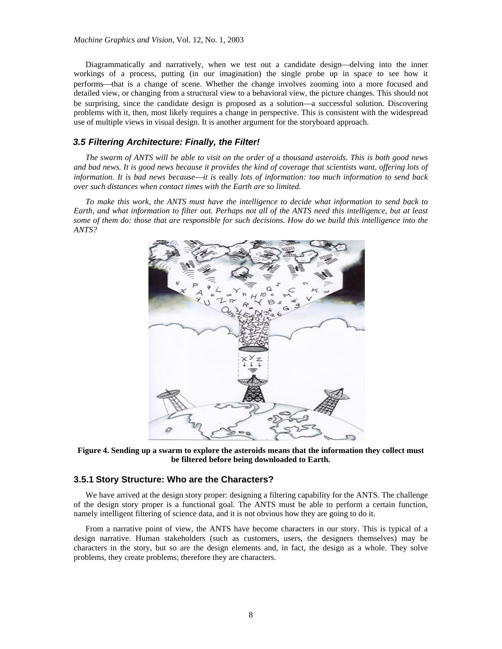Diagrammatically and narratively, when we test out a candidate design—delving into the inner workings of a process, putting (in our imagination) the single probe up in space to see how it performs⎯that is a change of scene. Whether the change involves zooming into a more focused and detailed view, or changing from a structural view to a behavioral view, the picture changes. This should not be surprising, since the candidate design is proposed as a solution—a successful solution. Discovering problems with it, then, most likely requires a change in perspective. This is consistent with the widespread use of multiple views in visual design. It is another argument for the storyboard approach.

### *3.5 Filtering Architecture: Finally, the Filter!*

*The swarm of ANTS will be able to visit on the order of a thousand asteroids. This is both good news and bad news. It is good news because it provides the kind of coverage that scientists want, offering lots of information. It is bad news because—it is really lots of information: too much information to send back over such distances when contact times with the Earth are so limited.* 

*To make this work, the ANTS must have the intelligence to decide what information to send back to Earth, and what information to filter out. Perhaps not all of the ANTS need this intelligence, but at least some of them do: those that are responsible for such decisions. How do we build this intelligence into the ANTS?* 



**Figure 4. Sending up a swarm to explore the asteroids means that the information they collect must be filtered before being downloaded to Earth.**

# **3.5.1 Story Structure: Who are the Characters?**

We have arrived at the design story proper: designing a filtering capability for the ANTS. The challenge of the design story proper is a functional goal. The ANTS must be able to perform a certain function, namely intelligent filtering of science data, and it is not obvious how they are going to do it.

From a narrative point of view, the ANTS have become characters in our story. This is typical of a design narrative. Human stakeholders (such as customers, users, the designers themselves) may be characters in the story, but so are the design elements and, in fact, the design as a whole. They solve problems, they create problems; therefore they are characters.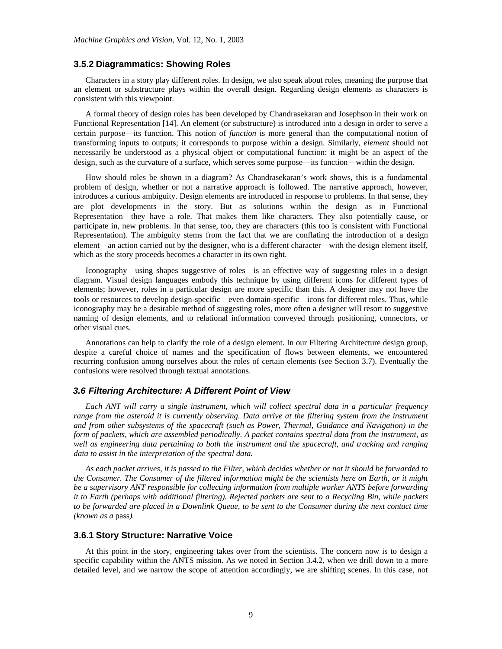#### **3.5.2 Diagrammatics: Showing Roles**

Characters in a story play different roles. In design, we also speak about roles, meaning the purpose that an element or substructure plays within the overall design. Regarding design elements as characters is consistent with this viewpoint.

A formal theory of design roles has been developed by Chandrasekaran and Josephson in their work on Functional Representation [14]. An element (or substructure) is introduced into a design in order to serve a certain purpose—its function. This notion of *function* is more general than the computational notion of transforming inputs to outputs; it corresponds to purpose within a design. Similarly, *element* should not necessarily be understood as a physical object or computational function: it might be an aspect of the design, such as the curvature of a surface, which serves some purpose—its function—within the design.

How should roles be shown in a diagram? As Chandrasekaran's work shows, this is a fundamental problem of design, whether or not a narrative approach is followed. The narrative approach, however, introduces a curious ambiguity. Design elements are introduced in response to problems. In that sense, they are plot developments in the story. But as solutions within the design—as in Functional Representation—they have a role. That makes them like characters. They also potentially cause, or participate in, new problems. In that sense, too, they are characters (this too is consistent with Functional Representation). The ambiguity stems from the fact that we are conflating the introduction of a design element—an action carried out by the designer, who is a different character—with the design element itself, which as the story proceeds becomes a character in its own right.

Iconography—using shapes suggestive of roles—is an effective way of suggesting roles in a design diagram. Visual design languages embody this technique by using different icons for different types of elements; however, roles in a particular design are more specific than this. A designer may not have the tools or resources to develop design-specific—even domain-specific—icons for different roles. Thus, while iconography may be a desirable method of suggesting roles, more often a designer will resort to suggestive naming of design elements, and to relational information conveyed through positioning, connectors, or other visual cues.

Annotations can help to clarify the role of a design element. In our Filtering Architecture design group, despite a careful choice of names and the specification of flows between elements, we encountered recurring confusion among ourselves about the roles of certain elements (see Section 3.7). Eventually the confusions were resolved through textual annotations.

#### *3.6 Filtering Architecture: A Different Point of View*

*Each ANT will carry a single instrument, which will collect spectral data in a particular frequency range from the asteroid it is currently observing. Data arrive at the filtering system from the instrument and from other subsystems of the spacecraft (such as Power, Thermal, Guidance and Navigation) in the form of packets, which are assembled periodically. A packet contains spectral data from the instrument, as well as engineering data pertaining to both the instrument and the spacecraft, and tracking and ranging data to assist in the interpretation of the spectral data.* 

*As each packet arrives, it is passed to the Filter, which decides whether or not it should be forwarded to the Consumer. The Consumer of the filtered information might be the scientists here on Earth, or it might be a supervisory ANT responsible for collecting information from multiple worker ANTS before forwarding it to Earth (perhaps with additional filtering). Rejected packets are sent to a Recycling Bin, while packets to be forwarded are placed in a Downlink Queue, to be sent to the Consumer during the next contact time (known as a* pass*).* 

#### **3.6.1 Story Structure: Narrative Voice**

At this point in the story, engineering takes over from the scientists. The concern now is to design a specific capability within the ANTS mission. As we noted in Section 3.4.2, when we drill down to a more detailed level, and we narrow the scope of attention accordingly, we are shifting scenes. In this case, not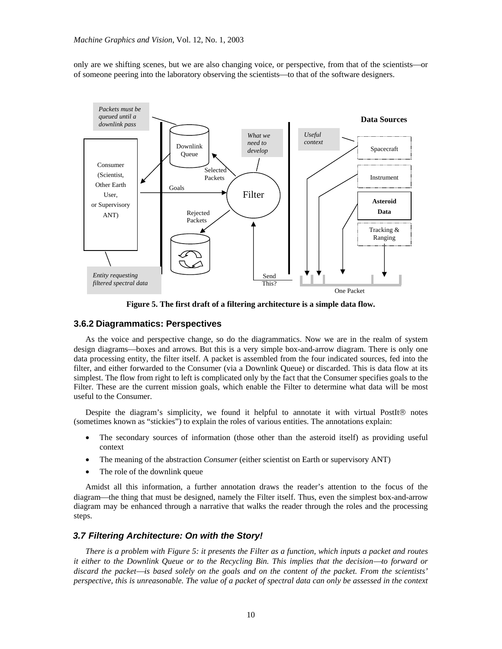only are we shifting scenes, but we are also changing voice, or perspective, from that of the scientists—or of someone peering into the laboratory observing the scientists—to that of the software designers.



**Figure 5. The first draft of a filtering architecture is a simple data flow.**

#### **3.6.2 Diagrammatics: Perspectives**

As the voice and perspective change, so do the diagrammatics. Now we are in the realm of system design diagrams—boxes and arrows. But this is a very simple box-and-arrow diagram. There is only one data processing entity, the filter itself. A packet is assembled from the four indicated sources, fed into the filter, and either forwarded to the Consumer (via a Downlink Queue) or discarded. This is data flow at its simplest. The flow from right to left is complicated only by the fact that the Consumer specifies goals to the Filter. These are the current mission goals, which enable the Filter to determine what data will be most useful to the Consumer.

Despite the diagram's simplicity, we found it helpful to annotate it with virtual PostIt® notes (sometimes known as "stickies") to explain the roles of various entities. The annotations explain:

- The secondary sources of information (those other than the asteroid itself) as providing useful context
- The meaning of the abstraction *Consumer* (either scientist on Earth or supervisory ANT)
- The role of the downlink queue

Amidst all this information, a further annotation draws the reader's attention to the focus of the diagram—the thing that must be designed, namely the Filter itself. Thus, even the simplest box-and-arrow diagram may be enhanced through a narrative that walks the reader through the roles and the processing steps.

#### *3.7 Filtering Architecture: On with the Story!*

*There is a problem with Figure 5: it presents the Filter as a function, which inputs a packet and routes it either to the Downlink Queue or to the Recycling Bin. This implies that the decision—to forward or* discard the packet—is based solely on the goals and on the content of the packet. From the scientists' *perspective, this is unreasonable. The value of a packet of spectral data can only be assessed in the context*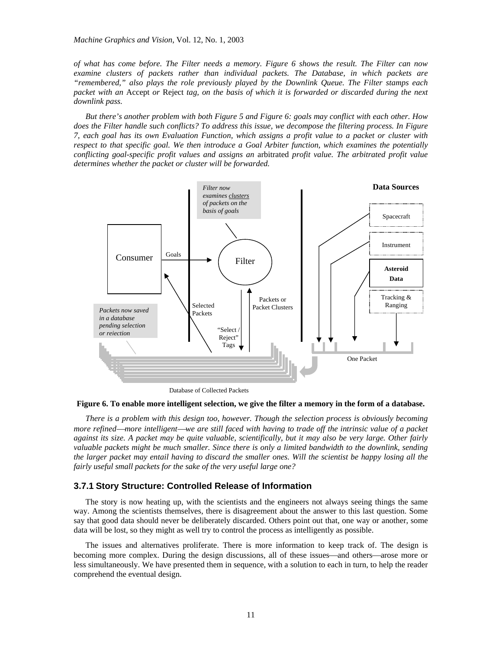*of what has come before. The Filter needs a memory. Figure 6 shows the result. The Filter can now examine clusters of packets rather than individual packets. The Database, in which packets are "remembered," also plays the role previously played by the Downlink Queue. The Filter stamps each packet with an* Accept *or* Reject *tag, on the basis of which it is forwarded or discarded during the next downlink pass.* 

*But there's another problem with both Figure 5 and Figure 6: goals may conflict with each other. How does the Filter handle such conflicts? To address this issue, we decompose the filtering process. In Figure 7, each goal has its own Evaluation Function, which assigns a profit value to a packet or cluster with respect to that specific goal. We then introduce a Goal Arbiter function, which examines the potentially conflicting goal-specific profit values and assigns an* arbitrated *profit value. The arbitrated profit value determines whether the packet or cluster will be forwarded.* 



Database of Collected Packets

#### **Figure 6. To enable more intelligent selection, we give the filter a memory in the form of a database.**

*There is a problem with this design too, however. Though the selection process is obviously becoming more refined—more intelligent—we are still faced with having to trade off the intrinsic value of a packet against its size. A packet may be quite valuable, scientifically, but it may also be very large. Other fairly valuable packets might be much smaller. Since there is only a limited bandwidth to the downlink, sending the larger packet may entail having to discard the smaller ones. Will the scientist be happy losing all the fairly useful small packets for the sake of the very useful large one?* 

#### **3.7.1 Story Structure: Controlled Release of Information**

The story is now heating up, with the scientists and the engineers not always seeing things the same way. Among the scientists themselves, there is disagreement about the answer to this last question. Some say that good data should never be deliberately discarded. Others point out that, one way or another, some data will be lost, so they might as well try to control the process as intelligently as possible.

The issues and alternatives proliferate. There is more information to keep track of. The design is becoming more complex. During the design discussions, all of these issues—and others—arose more or less simultaneously. We have presented them in sequence, with a solution to each in turn, to help the reader comprehend the eventual design.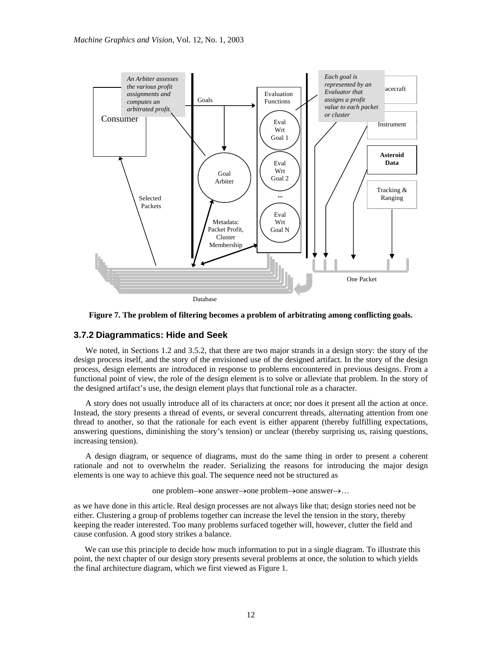

**Figure 7. The problem of filtering becomes a problem of arbitrating among conflicting goals.**

#### **3.7.2 Diagrammatics: Hide and Seek**

We noted, in Sections 1.2 and 3.5.2, that there are two major strands in a design story: the story of the design process itself, and the story of the envisioned use of the designed artifact. In the story of the design process, design elements are introduced in response to problems encountered in previous designs. From a functional point of view, the role of the design element is to solve or alleviate that problem. In the story of the designed artifact's use, the design element plays that functional role as a character.

A story does not usually introduce all of its characters at once; nor does it present all the action at once. Instead, the story presents a thread of events, or several concurrent threads, alternating attention from one thread to another, so that the rationale for each event is either apparent (thereby fulfilling expectations, answering questions, diminishing the story's tension) or unclear (thereby surprising us, raising questions, increasing tension).

A design diagram, or sequence of diagrams, must do the same thing in order to present a coherent rationale and not to overwhelm the reader. Serializing the reasons for introducing the major design elements is one way to achieve this goal. The sequence need not be structured as

one problem→one answer→one problem→one answer→…

as we have done in this article. Real design processes are not always like that; design stories need not be either. Clustering a group of problems together can increase the level the tension in the story, thereby keeping the reader interested. Too many problems surfaced together will, however, clutter the field and cause confusion. A good story strikes a balance.

We can use this principle to decide how much information to put in a single diagram. To illustrate this point, the next chapter of our design story presents several problems at once, the solution to which yields the final architecture diagram, which we first viewed as Figure 1.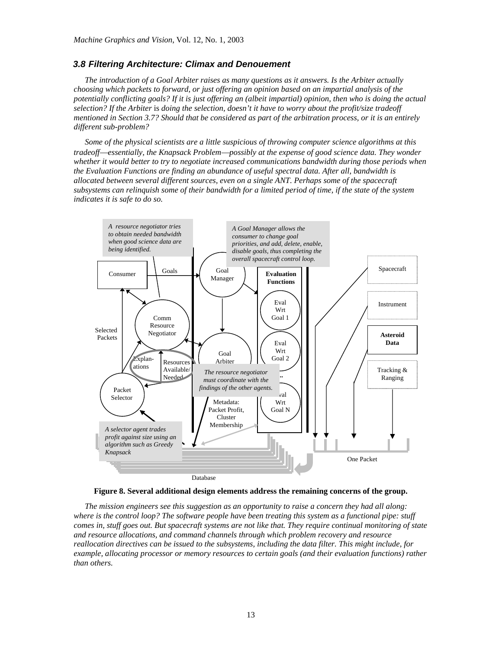#### *3.8 Filtering Architecture: Climax and Denouement*

*The introduction of a Goal Arbiter raises as many questions as it answers. Is the Arbiter actually choosing which packets to forward, or just offering an opinion based on an impartial analysis of the potentially conflicting goals? If it is just offering an (albeit impartial) opinion, then who is doing the actual selection? If the Arbiter* is *doing the selection, doesn't it have to worry about the profit/size tradeoff mentioned in Section 3.7? Should that be considered as part of the arbitration process, or it is an entirely different sub-problem?* 

*Some of the physical scientists are a little suspicious of throwing computer science algorithms at this tradeoff*⎯*essentially, the Knapsack Problem*⎯*possibly at the expense of good science data. They wonder whether it would better to try to negotiate increased communications bandwidth during those periods when the Evaluation Functions are finding an abundance of useful spectral data. After all, bandwidth is allocated between several different sources, even on a single ANT. Perhaps some of the spacecraft subsystems can relinquish some of their bandwidth for a limited period of time, if the state of the system indicates it is safe to do so.* 





*The mission engineers see this suggestion as an opportunity to raise a concern they had all along: where is the control loop? The software people have been treating this system as a functional pipe: stuff comes in, stuff goes out. But spacecraft systems are not like that. They require continual monitoring of state and resource allocations, and command channels through which problem recovery and resource reallocation directives can be issued to the subsystems, including the data filter. This might include, for example, allocating processor or memory resources to certain goals (and their evaluation functions) rather than others.*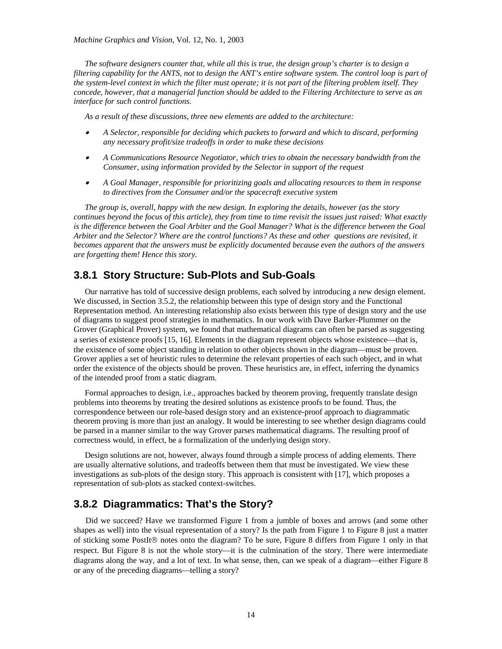*The software designers counter that, while all this is true, the design group's charter is to design a filtering capability for the ANTS, not to design the ANT's entire software system. The control loop is part of the system-level context in which the filter must operate; it is not part of the filtering problem itself. They concede, however, that a managerial function should be added to the Filtering Architecture to serve as an interface for such control functions.* 

*As a result of these discussions, three new elements are added to the architecture:* 

- • *A Selector, responsible for deciding which packets to forward and which to discard, performing any necessary profit/size tradeoffs in order to make these decisions*
- • *A Communications Resource Negotiator, which tries to obtain the necessary bandwidth from the Consumer, using information provided by the Selector in support of the request*
- • *A Goal Manager, responsible for prioritizing goals and allocating resources to them in response to directives from the Consumer and/or the spacecraft executive system*

*The group is, overall, happy with the new design. In exploring the details, however (as the story continues beyond the focus of this article), they from time to time revisit the issues just raised: What exactly is the difference between the Goal Arbiter and the Goal Manager? What is the difference between the Goal Arbiter and the Selector? Where are the control functions? As these and other questions are revisited, it becomes apparent that the answers must be explicitly documented because even the authors of the answers are forgetting them! Hence this story.* 

# **3.8.1 Story Structure: Sub-Plots and Sub-Goals**

Our narrative has told of successive design problems, each solved by introducing a new design element. We discussed, in Section 3.5.2, the relationship between this type of design story and the Functional Representation method. An interesting relationship also exists between this type of design story and the use of diagrams to suggest proof strategies in mathematics. In our work with Dave Barker-Plummer on the Grover (Graphical Prover) system, we found that mathematical diagrams can often be parsed as suggesting a series of existence proofs [15, 16]. Elements in the diagram represent objects whose existence—that is, the existence of some object standing in relation to other objects shown in the diagram—must be proven. Grover applies a set of heuristic rules to determine the relevant properties of each such object, and in what order the existence of the objects should be proven. These heuristics are, in effect, inferring the dynamics of the intended proof from a static diagram.

Formal approaches to design, i.e., approaches backed by theorem proving, frequently translate design problems into theorems by treating the desired solutions as existence proofs to be found. Thus, the correspondence between our role-based design story and an existence-proof approach to diagrammatic theorem proving is more than just an analogy. It would be interesting to see whether design diagrams could be parsed in a manner similar to the way Grover parses mathematical diagrams. The resulting proof of correctness would, in effect, be a formalization of the underlying design story.

Design solutions are not, however, always found through a simple process of adding elements. There are usually alternative solutions, and tradeoffs between them that must be investigated. We view these investigations as sub-plots of the design story. This approach is consistent with [17], which proposes a representation of sub-plots as stacked context-switches.

# **3.8.2 Diagrammatics: That's the Story?**

Did we succeed? Have we transformed Figure 1 from a jumble of boxes and arrows (and some other shapes as well) into the visual representation of a story? Is the path from Figure 1 to Figure 8 just a matter of sticking some PostIt® notes onto the diagram? To be sure, Figure 8 differs from Figure 1 only in that respect. But Figure 8 is not the whole story—it is the culmination of the story. There were intermediate diagrams along the way, and a lot of text. In what sense, then, can we speak of a diagram—either Figure 8 or any of the preceding diagrams—telling a story?